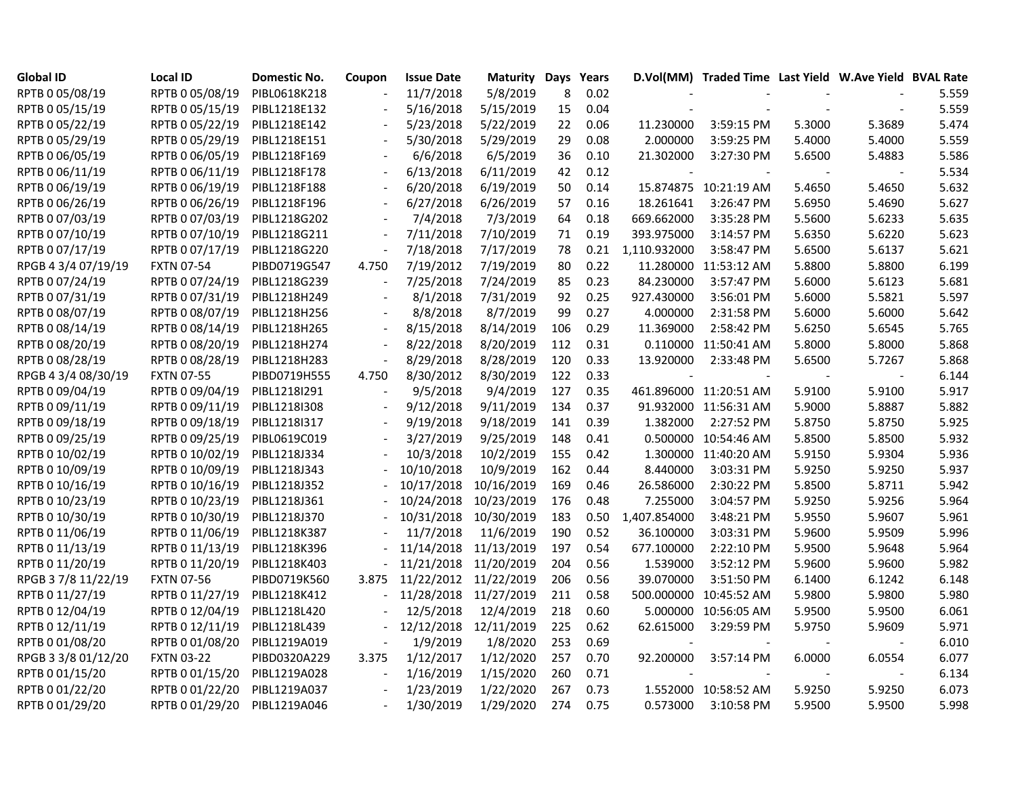| <b>Global ID</b>    | <b>Local ID</b>   | Domestic No. | Coupon                   | <b>Issue Date</b> | <b>Maturity Days</b>  |     | Years |              | D.Vol(MM) Traded Time Last Yield W.Ave Yield BVAL Rate |        |        |       |
|---------------------|-------------------|--------------|--------------------------|-------------------|-----------------------|-----|-------|--------------|--------------------------------------------------------|--------|--------|-------|
| RPTB 0 05/08/19     | RPTB 0 05/08/19   | PIBL0618K218 |                          | 11/7/2018         | 5/8/2019              | 8   | 0.02  |              |                                                        |        |        | 5.559 |
| RPTB 0 05/15/19     | RPTB 0 05/15/19   | PIBL1218E132 |                          | 5/16/2018         | 5/15/2019             | 15  | 0.04  |              |                                                        |        |        | 5.559 |
| RPTB 0 05/22/19     | RPTB 0 05/22/19   | PIBL1218E142 |                          | 5/23/2018         | 5/22/2019             | 22  | 0.06  | 11.230000    | 3:59:15 PM                                             | 5.3000 | 5.3689 | 5.474 |
| RPTB 0 05/29/19     | RPTB 0 05/29/19   | PIBL1218E151 |                          | 5/30/2018         | 5/29/2019             | 29  | 0.08  | 2.000000     | 3:59:25 PM                                             | 5.4000 | 5.4000 | 5.559 |
| RPTB 0 06/05/19     | RPTB 0 06/05/19   | PIBL1218F169 |                          | 6/6/2018          | 6/5/2019              | 36  | 0.10  | 21.302000    | 3:27:30 PM                                             | 5.6500 | 5.4883 | 5.586 |
| RPTB 0 06/11/19     | RPTB 0 06/11/19   | PIBL1218F178 |                          | 6/13/2018         | 6/11/2019             | 42  | 0.12  |              |                                                        |        |        | 5.534 |
| RPTB 0 06/19/19     | RPTB 0 06/19/19   | PIBL1218F188 |                          | 6/20/2018         | 6/19/2019             | 50  | 0.14  |              | 15.874875 10:21:19 AM                                  | 5.4650 | 5.4650 | 5.632 |
| RPTB 0 06/26/19     | RPTB 0 06/26/19   | PIBL1218F196 |                          | 6/27/2018         | 6/26/2019             | 57  | 0.16  | 18.261641    | 3:26:47 PM                                             | 5.6950 | 5.4690 | 5.627 |
| RPTB 0 07/03/19     | RPTB 0 07/03/19   | PIBL1218G202 |                          | 7/4/2018          | 7/3/2019              | 64  | 0.18  | 669.662000   | 3:35:28 PM                                             | 5.5600 | 5.6233 | 5.635 |
| RPTB 0 07/10/19     | RPTB 0 07/10/19   | PIBL1218G211 |                          | 7/11/2018         | 7/10/2019             | 71  | 0.19  | 393.975000   | 3:14:57 PM                                             | 5.6350 | 5.6220 | 5.623 |
| RPTB 0 07/17/19     | RPTB 0 07/17/19   | PIBL1218G220 |                          | 7/18/2018         | 7/17/2019             | 78  | 0.21  | 1,110.932000 | 3:58:47 PM                                             | 5.6500 | 5.6137 | 5.621 |
| RPGB 4 3/4 07/19/19 | <b>FXTN 07-54</b> | PIBD0719G547 | 4.750                    | 7/19/2012         | 7/19/2019             | 80  | 0.22  |              | 11.280000 11:53:12 AM                                  | 5.8800 | 5.8800 | 6.199 |
| RPTB 0 07/24/19     | RPTB 0 07/24/19   | PIBL1218G239 |                          | 7/25/2018         | 7/24/2019             | 85  | 0.23  | 84.230000    | 3:57:47 PM                                             | 5.6000 | 5.6123 | 5.681 |
| RPTB 0 07/31/19     | RPTB 0 07/31/19   | PIBL1218H249 |                          | 8/1/2018          | 7/31/2019             | 92  | 0.25  | 927.430000   | 3:56:01 PM                                             | 5.6000 | 5.5821 | 5.597 |
| RPTB 0 08/07/19     | RPTB 0 08/07/19   | PIBL1218H256 |                          | 8/8/2018          | 8/7/2019              | 99  | 0.27  | 4.000000     | 2:31:58 PM                                             | 5.6000 | 5.6000 | 5.642 |
| RPTB 0 08/14/19     | RPTB 0 08/14/19   | PIBL1218H265 |                          | 8/15/2018         | 8/14/2019             | 106 | 0.29  | 11.369000    | 2:58:42 PM                                             | 5.6250 | 5.6545 | 5.765 |
| RPTB 0 08/20/19     | RPTB 0 08/20/19   | PIBL1218H274 |                          | 8/22/2018         | 8/20/2019             | 112 | 0.31  |              | 0.110000 11:50:41 AM                                   | 5.8000 | 5.8000 | 5.868 |
| RPTB 0 08/28/19     | RPTB 0 08/28/19   | PIBL1218H283 |                          | 8/29/2018         | 8/28/2019             | 120 | 0.33  | 13.920000    | 2:33:48 PM                                             | 5.6500 | 5.7267 | 5.868 |
| RPGB 4 3/4 08/30/19 | <b>FXTN 07-55</b> | PIBD0719H555 | 4.750                    | 8/30/2012         | 8/30/2019             | 122 | 0.33  |              |                                                        |        |        | 6.144 |
| RPTB 0 09/04/19     | RPTB 0 09/04/19   | PIBL1218I291 |                          | 9/5/2018          | 9/4/2019              | 127 | 0.35  |              | 461.896000 11:20:51 AM                                 | 5.9100 | 5.9100 | 5.917 |
| RPTB 0 09/11/19     | RPTB 0 09/11/19   | PIBL1218I308 |                          | 9/12/2018         | 9/11/2019             | 134 | 0.37  |              | 91.932000 11:56:31 AM                                  | 5.9000 | 5.8887 | 5.882 |
| RPTB 0 09/18/19     | RPTB 0 09/18/19   | PIBL1218I317 |                          | 9/19/2018         | 9/18/2019             | 141 | 0.39  | 1.382000     | 2:27:52 PM                                             | 5.8750 | 5.8750 | 5.925 |
| RPTB 0 09/25/19     | RPTB 0 09/25/19   | PIBL0619C019 |                          | 3/27/2019         | 9/25/2019             | 148 | 0.41  |              | 0.500000 10:54:46 AM                                   | 5.8500 | 5.8500 | 5.932 |
| RPTB 0 10/02/19     | RPTB 0 10/02/19   | PIBL1218J334 |                          | 10/3/2018         | 10/2/2019             | 155 | 0.42  |              | 1.300000 11:40:20 AM                                   | 5.9150 | 5.9304 | 5.936 |
| RPTB 0 10/09/19     | RPTB 0 10/09/19   | PIBL1218J343 |                          | 10/10/2018        | 10/9/2019             | 162 | 0.44  | 8.440000     | 3:03:31 PM                                             | 5.9250 | 5.9250 | 5.937 |
| RPTB 0 10/16/19     | RPTB 0 10/16/19   | PIBL1218J352 |                          | 10/17/2018        | 10/16/2019            | 169 | 0.46  | 26.586000    | 2:30:22 PM                                             | 5.8500 | 5.8711 | 5.942 |
| RPTB 0 10/23/19     | RPTB 0 10/23/19   | PIBL1218J361 |                          | 10/24/2018        | 10/23/2019            | 176 | 0.48  | 7.255000     | 3:04:57 PM                                             | 5.9250 | 5.9256 | 5.964 |
| RPTB 0 10/30/19     | RPTB 0 10/30/19   | PIBL1218J370 |                          | 10/31/2018        | 10/30/2019            | 183 | 0.50  | 1,407.854000 | 3:48:21 PM                                             | 5.9550 | 5.9607 | 5.961 |
| RPTB 0 11/06/19     | RPTB 0 11/06/19   | PIBL1218K387 |                          | 11/7/2018         | 11/6/2019             | 190 | 0.52  | 36.100000    | 3:03:31 PM                                             | 5.9600 | 5.9509 | 5.996 |
| RPTB 0 11/13/19     | RPTB 0 11/13/19   | PIBL1218K396 |                          | 11/14/2018        | 11/13/2019            | 197 | 0.54  | 677.100000   | 2:22:10 PM                                             | 5.9500 | 5.9648 | 5.964 |
| RPTB 0 11/20/19     | RPTB 0 11/20/19   | PIBL1218K403 |                          | 11/21/2018        | 11/20/2019            | 204 | 0.56  | 1.539000     | 3:52:12 PM                                             | 5.9600 | 5.9600 | 5.982 |
| RPGB 37/8 11/22/19  | <b>FXTN 07-56</b> | PIBD0719K560 | 3.875                    | 11/22/2012        | 11/22/2019            | 206 | 0.56  | 39.070000    | 3:51:50 PM                                             | 6.1400 | 6.1242 | 6.148 |
| RPTB 0 11/27/19     | RPTB 0 11/27/19   | PIBL1218K412 |                          |                   | 11/28/2018 11/27/2019 | 211 | 0.58  |              | 500.000000 10:45:52 AM                                 | 5.9800 | 5.9800 | 5.980 |
| RPTB 0 12/04/19     | RPTB 0 12/04/19   | PIBL1218L420 |                          | 12/5/2018         | 12/4/2019             | 218 | 0.60  |              | 5.000000 10:56:05 AM                                   | 5.9500 | 5.9500 | 6.061 |
| RPTB 0 12/11/19     | RPTB 0 12/11/19   | PIBL1218L439 |                          | 12/12/2018        | 12/11/2019            | 225 | 0.62  | 62.615000    | 3:29:59 PM                                             | 5.9750 | 5.9609 | 5.971 |
| RPTB 0 01/08/20     | RPTB 0 01/08/20   | PIBL1219A019 | $\overline{\phantom{a}}$ | 1/9/2019          | 1/8/2020              | 253 | 0.69  |              |                                                        |        |        | 6.010 |
| RPGB 3 3/8 01/12/20 | <b>FXTN 03-22</b> | PIBD0320A229 | 3.375                    | 1/12/2017         | 1/12/2020             | 257 | 0.70  | 92.200000    | 3:57:14 PM                                             | 6.0000 | 6.0554 | 6.077 |
| RPTB 0 01/15/20     | RPTB 0 01/15/20   | PIBL1219A028 |                          | 1/16/2019         | 1/15/2020             | 260 | 0.71  |              |                                                        |        | $\sim$ | 6.134 |
| RPTB 0 01/22/20     | RPTB 0 01/22/20   | PIBL1219A037 |                          | 1/23/2019         | 1/22/2020             | 267 | 0.73  |              | 1.552000 10:58:52 AM                                   | 5.9250 | 5.9250 | 6.073 |
| RPTB 0 01/29/20     | RPTB 0 01/29/20   | PIBL1219A046 |                          | 1/30/2019         | 1/29/2020             | 274 | 0.75  | 0.573000     | 3:10:58 PM                                             | 5.9500 | 5.9500 | 5.998 |
|                     |                   |              |                          |                   |                       |     |       |              |                                                        |        |        |       |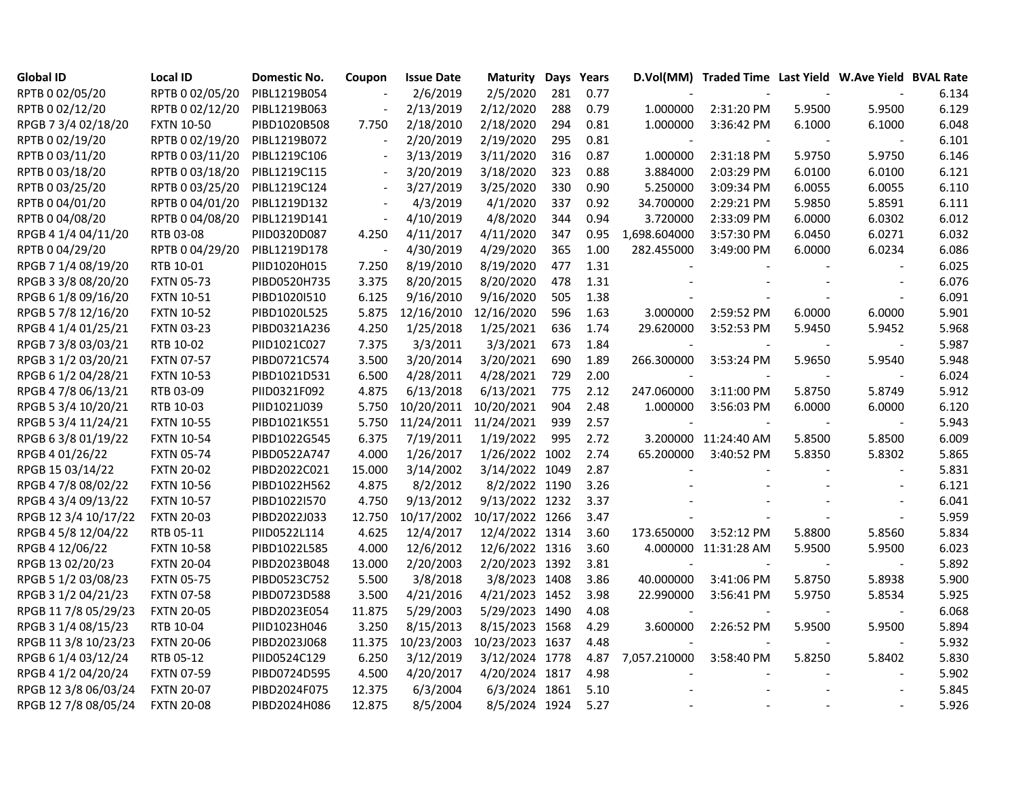| <b>Global ID</b>     | <b>Local ID</b>   | Domestic No. | Coupon                   | <b>Issue Date</b> | <b>Maturity Days Years</b> |     |      |                | D.Vol(MM) Traded Time Last Yield W.Ave Yield BVAL Rate |        |                |       |
|----------------------|-------------------|--------------|--------------------------|-------------------|----------------------------|-----|------|----------------|--------------------------------------------------------|--------|----------------|-------|
| RPTB 0 02/05/20      | RPTB 0 02/05/20   | PIBL1219B054 |                          | 2/6/2019          | 2/5/2020                   | 281 | 0.77 |                |                                                        |        |                | 6.134 |
| RPTB 0 02/12/20      | RPTB 0 02/12/20   | PIBL1219B063 |                          | 2/13/2019         | 2/12/2020                  | 288 | 0.79 | 1.000000       | 2:31:20 PM                                             | 5.9500 | 5.9500         | 6.129 |
| RPGB 7 3/4 02/18/20  | <b>FXTN 10-50</b> | PIBD1020B508 | 7.750                    | 2/18/2010         | 2/18/2020                  | 294 | 0.81 | 1.000000       | 3:36:42 PM                                             | 6.1000 | 6.1000         | 6.048 |
| RPTB 0 02/19/20      | RPTB 0 02/19/20   | PIBL1219B072 |                          | 2/20/2019         | 2/19/2020                  | 295 | 0.81 |                |                                                        |        |                | 6.101 |
| RPTB 0 03/11/20      | RPTB 0 03/11/20   | PIBL1219C106 |                          | 3/13/2019         | 3/11/2020                  | 316 | 0.87 | 1.000000       | 2:31:18 PM                                             | 5.9750 | 5.9750         | 6.146 |
| RPTB 0 03/18/20      | RPTB 0 03/18/20   | PIBL1219C115 |                          | 3/20/2019         | 3/18/2020                  | 323 | 0.88 | 3.884000       | 2:03:29 PM                                             | 6.0100 | 6.0100         | 6.121 |
| RPTB 0 03/25/20      | RPTB 0 03/25/20   | PIBL1219C124 |                          | 3/27/2019         | 3/25/2020                  | 330 | 0.90 | 5.250000       | 3:09:34 PM                                             | 6.0055 | 6.0055         | 6.110 |
| RPTB 0 04/01/20      | RPTB 0 04/01/20   | PIBL1219D132 | $\blacksquare$           | 4/3/2019          | 4/1/2020                   | 337 | 0.92 | 34.700000      | 2:29:21 PM                                             | 5.9850 | 5.8591         | 6.111 |
| RPTB 0 04/08/20      | RPTB 0 04/08/20   | PIBL1219D141 | $\overline{\phantom{a}}$ | 4/10/2019         | 4/8/2020                   | 344 | 0.94 | 3.720000       | 2:33:09 PM                                             | 6.0000 | 6.0302         | 6.012 |
| RPGB 4 1/4 04/11/20  | RTB 03-08         | PIID0320D087 | 4.250                    | 4/11/2017         | 4/11/2020                  | 347 | 0.95 | 1,698.604000   | 3:57:30 PM                                             | 6.0450 | 6.0271         | 6.032 |
| RPTB 0 04/29/20      | RPTB 0 04/29/20   | PIBL1219D178 | $\sim$                   | 4/30/2019         | 4/29/2020                  | 365 | 1.00 | 282.455000     | 3:49:00 PM                                             | 6.0000 | 6.0234         | 6.086 |
| RPGB 7 1/4 08/19/20  | RTB 10-01         | PIID1020H015 | 7.250                    | 8/19/2010         | 8/19/2020                  | 477 | 1.31 |                |                                                        |        |                | 6.025 |
| RPGB 3 3/8 08/20/20  | <b>FXTN 05-73</b> | PIBD0520H735 | 3.375                    | 8/20/2015         | 8/20/2020                  | 478 | 1.31 |                |                                                        |        |                | 6.076 |
| RPGB 6 1/8 09/16/20  | <b>FXTN 10-51</b> | PIBD1020I510 | 6.125                    | 9/16/2010         | 9/16/2020                  | 505 | 1.38 |                |                                                        |        |                | 6.091 |
| RPGB 5 7/8 12/16/20  | <b>FXTN 10-52</b> | PIBD1020L525 | 5.875                    | 12/16/2010        | 12/16/2020                 | 596 | 1.63 | 3.000000       | 2:59:52 PM                                             | 6.0000 | 6.0000         | 5.901 |
| RPGB 4 1/4 01/25/21  | <b>FXTN 03-23</b> | PIBD0321A236 | 4.250                    | 1/25/2018         | 1/25/2021                  | 636 | 1.74 | 29.620000      | 3:52:53 PM                                             | 5.9450 | 5.9452         | 5.968 |
| RPGB 7 3/8 03/03/21  | RTB 10-02         | PIID1021C027 | 7.375                    | 3/3/2011          | 3/3/2021                   | 673 | 1.84 |                |                                                        |        |                | 5.987 |
| RPGB 3 1/2 03/20/21  | <b>FXTN 07-57</b> | PIBD0721C574 | 3.500                    | 3/20/2014         | 3/20/2021                  | 690 | 1.89 | 266.300000     | 3:53:24 PM                                             | 5.9650 | 5.9540         | 5.948 |
| RPGB 6 1/2 04/28/21  | <b>FXTN 10-53</b> | PIBD1021D531 | 6.500                    | 4/28/2011         | 4/28/2021                  | 729 | 2.00 |                |                                                        |        |                | 6.024 |
| RPGB 4 7/8 06/13/21  | RTB 03-09         | PIID0321F092 | 4.875                    | 6/13/2018         | 6/13/2021                  | 775 | 2.12 | 247.060000     | 3:11:00 PM                                             | 5.8750 | 5.8749         | 5.912 |
| RPGB 5 3/4 10/20/21  | RTB 10-03         | PIID1021J039 | 5.750                    | 10/20/2011        | 10/20/2021                 | 904 | 2.48 | 1.000000       | 3:56:03 PM                                             | 6.0000 | 6.0000         | 6.120 |
| RPGB 5 3/4 11/24/21  | <b>FXTN 10-55</b> | PIBD1021K551 | 5.750                    | 11/24/2011        | 11/24/2021                 | 939 | 2.57 |                |                                                        |        | $\sim$         | 5.943 |
| RPGB 63/8 01/19/22   | <b>FXTN 10-54</b> | PIBD1022G545 | 6.375                    | 7/19/2011         | 1/19/2022                  | 995 | 2.72 |                | 3.200000 11:24:40 AM                                   | 5.8500 | 5.8500         | 6.009 |
| RPGB 4 01/26/22      | <b>FXTN 05-74</b> | PIBD0522A747 | 4.000                    | 1/26/2017         | 1/26/2022 1002             |     | 2.74 | 65.200000      | 3:40:52 PM                                             | 5.8350 | 5.8302         | 5.865 |
| RPGB 15 03/14/22     | <b>FXTN 20-02</b> | PIBD2022C021 | 15.000                   | 3/14/2002         | 3/14/2022 1049             |     | 2.87 | $\blacksquare$ |                                                        |        | $\blacksquare$ | 5.831 |
| RPGB 4 7/8 08/02/22  | <b>FXTN 10-56</b> | PIBD1022H562 | 4.875                    | 8/2/2012          | 8/2/2022 1190              |     | 3.26 |                |                                                        |        |                | 6.121 |
| RPGB 4 3/4 09/13/22  | <b>FXTN 10-57</b> | PIBD1022I570 | 4.750                    | 9/13/2012         | 9/13/2022 1232             |     | 3.37 |                |                                                        |        |                | 6.041 |
| RPGB 12 3/4 10/17/22 | <b>FXTN 20-03</b> | PIBD2022J033 | 12.750                   | 10/17/2002        | 10/17/2022 1266            |     | 3.47 |                |                                                        |        |                | 5.959 |
| RPGB 4 5/8 12/04/22  | RTB 05-11         | PIID0522L114 | 4.625                    | 12/4/2017         | 12/4/2022 1314             |     | 3.60 | 173.650000     | 3:52:12 PM                                             | 5.8800 | 5.8560         | 5.834 |
| RPGB 4 12/06/22      | <b>FXTN 10-58</b> | PIBD1022L585 | 4.000                    | 12/6/2012         | 12/6/2022 1316             |     | 3.60 |                | 4.000000 11:31:28 AM                                   | 5.9500 | 5.9500         | 6.023 |
| RPGB 13 02/20/23     | <b>FXTN 20-04</b> | PIBD2023B048 | 13.000                   | 2/20/2003         | 2/20/2023 1392             |     | 3.81 |                |                                                        |        |                | 5.892 |
| RPGB 5 1/2 03/08/23  | <b>FXTN 05-75</b> | PIBD0523C752 | 5.500                    | 3/8/2018          | 3/8/2023 1408              |     | 3.86 | 40.000000      | 3:41:06 PM                                             | 5.8750 | 5.8938         | 5.900 |
| RPGB 3 1/2 04/21/23  | <b>FXTN 07-58</b> | PIBD0723D588 | 3.500                    | 4/21/2016         | 4/21/2023 1452             |     | 3.98 | 22.990000      | 3:56:41 PM                                             | 5.9750 | 5.8534         | 5.925 |
| RPGB 11 7/8 05/29/23 | <b>FXTN 20-05</b> | PIBD2023E054 | 11.875                   | 5/29/2003         | 5/29/2023 1490             |     | 4.08 |                |                                                        |        | $\sim$         | 6.068 |
| RPGB 3 1/4 08/15/23  | RTB 10-04         | PIID1023H046 | 3.250                    | 8/15/2013         | 8/15/2023 1568             |     | 4.29 | 3.600000       | 2:26:52 PM                                             | 5.9500 | 5.9500         | 5.894 |
| RPGB 11 3/8 10/23/23 | <b>FXTN 20-06</b> | PIBD2023J068 | 11.375                   | 10/23/2003        | 10/23/2023 1637            |     | 4.48 |                |                                                        |        |                | 5.932 |
| RPGB 6 1/4 03/12/24  | RTB 05-12         | PIID0524C129 | 6.250                    | 3/12/2019         | 3/12/2024 1778             |     | 4.87 | 7,057.210000   | 3:58:40 PM                                             | 5.8250 | 5.8402         | 5.830 |
| RPGB 4 1/2 04/20/24  | <b>FXTN 07-59</b> | PIBD0724D595 | 4.500                    | 4/20/2017         | 4/20/2024 1817             |     | 4.98 |                |                                                        |        |                | 5.902 |
| RPGB 12 3/8 06/03/24 | <b>FXTN 20-07</b> | PIBD2024F075 | 12.375                   | 6/3/2004          | 6/3/2024 1861              |     | 5.10 |                |                                                        |        |                | 5.845 |
| RPGB 12 7/8 08/05/24 | <b>FXTN 20-08</b> | PIBD2024H086 | 12.875                   | 8/5/2004          | 8/5/2024 1924              |     | 5.27 |                |                                                        |        |                | 5.926 |